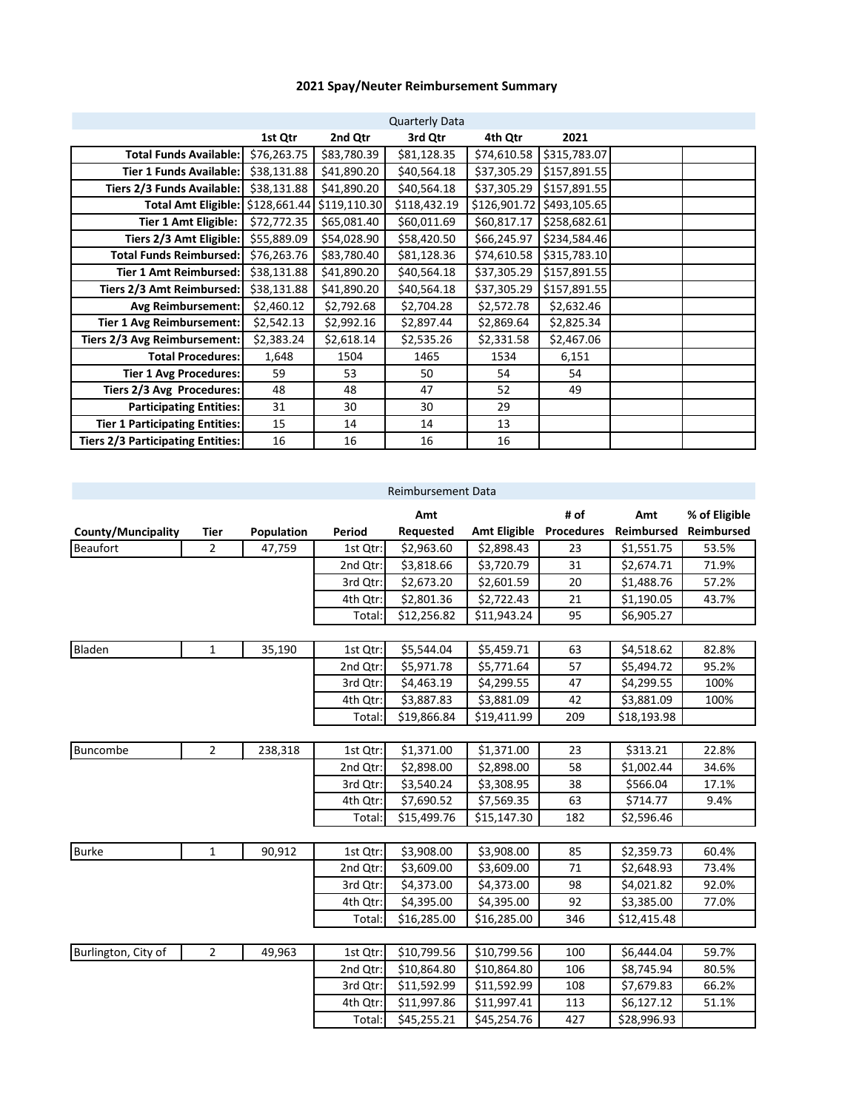## **2021 Spay/Neuter Reimbursement Summary**

|                                          | <b>Quarterly Data</b> |              |              |              |              |  |  |  |
|------------------------------------------|-----------------------|--------------|--------------|--------------|--------------|--|--|--|
|                                          | 1st Qtr               | 2nd Qtr      | 3rd Qtr      | 4th Qtr      | 2021         |  |  |  |
| <b>Total Funds Available:</b>            | \$76,263.75           | \$83,780.39  | \$81,128.35  | \$74,610.58  | \$315,783.07 |  |  |  |
| <b>Tier 1 Funds Available:</b>           | \$38,131.88           | \$41,890.20  | \$40,564.18  | \$37,305.29  | \$157,891.55 |  |  |  |
| Tiers 2/3 Funds Available:               | \$38,131.88           | \$41,890.20  | \$40,564.18  | \$37,305.29  | \$157,891.55 |  |  |  |
| <b>Total Amt Eligible:</b>               | \$128,661.44          | \$119,110.30 | \$118,432.19 | \$126,901.72 | \$493,105.65 |  |  |  |
| Tier 1 Amt Eligible:                     | \$72,772.35           | \$65,081.40  | \$60,011.69  | \$60,817.17  | \$258,682.61 |  |  |  |
| Tiers 2/3 Amt Eligible:                  | \$55,889.09           | \$54,028.90  | \$58,420.50  | \$66,245.97  | \$234,584.46 |  |  |  |
| <b>Total Funds Reimbursed:</b>           | \$76,263.76           | \$83,780.40  | \$81,128.36  | \$74,610.58  | \$315,783.10 |  |  |  |
| <b>Tier 1 Amt Reimbursed:</b>            | \$38,131.88           | \$41,890.20  | \$40,564.18  | \$37,305.29  | \$157,891.55 |  |  |  |
| Tiers 2/3 Amt Reimbursed:                | \$38,131.88           | \$41,890.20  | \$40,564.18  | \$37,305.29  | \$157,891.55 |  |  |  |
| <b>Avg Reimbursement:</b>                | \$2,460.12            | \$2,792.68   | \$2,704.28   | \$2,572.78   | \$2,632.46   |  |  |  |
| <b>Tier 1 Avg Reimbursement:</b>         | \$2,542.13            | \$2,992.16   | \$2,897.44   | \$2,869.64   | \$2,825.34   |  |  |  |
| Tiers 2/3 Avg Reimbursement:             | \$2,383.24            | \$2,618.14   | \$2,535.26   | \$2,331.58   | \$2,467.06   |  |  |  |
| <b>Total Procedures:</b>                 | 1,648                 | 1504         | 1465         | 1534         | 6,151        |  |  |  |
| <b>Tier 1 Avg Procedures:</b>            | 59                    | 53           | 50           | 54           | 54           |  |  |  |
| Tiers 2/3 Avg Procedures:                | 48                    | 48           | 47           | 52           | 49           |  |  |  |
| <b>Participating Entities:</b>           | 31                    | 30           | 30           | 29           |              |  |  |  |
| <b>Tier 1 Participating Entities:</b>    | 15                    | 14           | 14           | 13           |              |  |  |  |
| <b>Tiers 2/3 Participating Entities:</b> | 16                    | 16           | 16           | 16           |              |  |  |  |

|                     | <b>Reimbursement Data</b> |            |          |             |                     |                   |             |               |
|---------------------|---------------------------|------------|----------|-------------|---------------------|-------------------|-------------|---------------|
|                     |                           |            |          | Amt         |                     | # of              | Amt         | % of Eligible |
| County/Muncipality  | Tier                      | Population | Period   | Requested   | <b>Amt Eligible</b> | <b>Procedures</b> | Reimbursed  | Reimbursed    |
| <b>Beaufort</b>     | $\overline{2}$            | 47,759     | 1st Qtr: | \$2,963.60  | \$2,898.43          | 23                | \$1,551.75  | 53.5%         |
|                     |                           |            | 2nd Qtr: | \$3,818.66  | \$3,720.79          | 31                | \$2,674.71  | 71.9%         |
|                     |                           |            | 3rd Qtr: | \$2,673.20  | \$2,601.59          | 20                | \$1,488.76  | 57.2%         |
|                     |                           |            | 4th Qtr: | \$2,801.36  | \$2,722.43          | 21                | \$1,190.05  | 43.7%         |
|                     |                           |            | Total:   | \$12,256.82 | \$11,943.24         | 95                | \$6,905.27  |               |
|                     |                           |            |          |             |                     |                   |             |               |
| Bladen              | $\mathbf 1$               | 35,190     | 1st Qtr: | \$5,544.04  | \$5,459.71          | 63                | \$4,518.62  | 82.8%         |
|                     |                           |            | 2nd Qtr: | \$5,971.78  | \$5,771.64          | 57                | \$5,494.72  | 95.2%         |
|                     |                           |            | 3rd Qtr: | \$4,463.19  | \$4,299.55          | 47                | \$4,299.55  | 100%          |
|                     |                           |            | 4th Qtr: | \$3,887.83  | \$3,881.09          | 42                | \$3,881.09  | 100%          |
|                     |                           |            | Total:   | \$19,866.84 | \$19,411.99         | 209               | \$18,193.98 |               |
|                     |                           |            |          |             |                     |                   |             |               |
| Buncombe            | $\overline{2}$            | 238,318    | 1st Qtr: | \$1,371.00  | \$1,371.00          | 23                | \$313.21    | 22.8%         |
|                     |                           |            | 2nd Qtr: | \$2,898.00  | \$2,898.00          | 58                | \$1,002.44  | 34.6%         |
|                     |                           |            | 3rd Qtr: | \$3,540.24  | \$3,308.95          | 38                | \$566.04    | 17.1%         |
|                     |                           |            | 4th Qtr: | \$7,690.52  | \$7,569.35          | 63                | \$714.77    | 9.4%          |
|                     |                           |            | Total:   | \$15,499.76 | \$15,147.30         | 182               | \$2,596.46  |               |
|                     |                           |            |          |             |                     |                   |             |               |
| <b>Burke</b>        | $\mathbf{1}$              | 90,912     | 1st Qtr: | \$3,908.00  | \$3,908.00          | 85                | \$2,359.73  | 60.4%         |
|                     |                           |            | 2nd Qtr: | \$3,609.00  | \$3,609.00          | 71                | \$2,648.93  | 73.4%         |
|                     |                           |            | 3rd Qtr: | \$4,373.00  | \$4,373.00          | 98                | \$4,021.82  | 92.0%         |
|                     |                           |            | 4th Qtr: | \$4,395.00  | \$4,395.00          | 92                | \$3,385.00  | 77.0%         |
|                     |                           |            | Total:   | \$16,285.00 | \$16,285.00         | 346               | \$12,415.48 |               |
|                     |                           |            |          |             |                     |                   |             |               |
| Burlington, City of | $\overline{2}$            | 49,963     | 1st Qtr: | \$10,799.56 | \$10,799.56         | 100               | \$6,444.04  | 59.7%         |
|                     |                           |            | 2nd Qtr: | \$10,864.80 | \$10,864.80         | 106               | \$8,745.94  | 80.5%         |
|                     |                           |            | 3rd Qtr: | \$11,592.99 | \$11,592.99         | 108               | \$7,679.83  | 66.2%         |
|                     |                           |            | 4th Qtr: | \$11,997.86 | \$11,997.41         | 113               | \$6,127.12  | 51.1%         |
|                     |                           |            | Total:   | \$45,255.21 | \$45,254.76         | 427               | \$28,996.93 |               |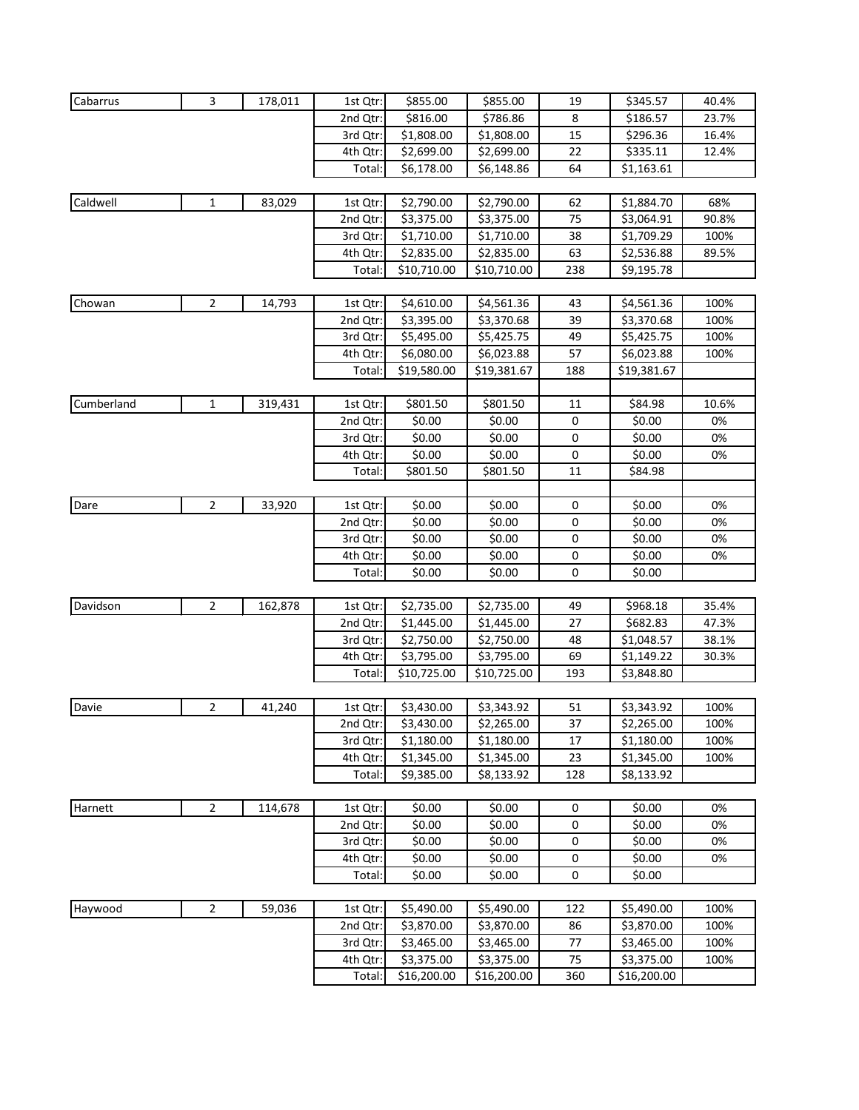| Cabarrus   | 3              | 178,011  | 1st Qtr: | \$855.00    | \$855.00    | 19     | \$345.57    | 40.4% |
|------------|----------------|----------|----------|-------------|-------------|--------|-------------|-------|
|            |                |          | 2nd Qtr: | \$816.00    | \$786.86    | 8      | \$186.57    | 23.7% |
|            |                |          | 3rd Qtr: | \$1,808.00  | \$1,808.00  | 15     | \$296.36    | 16.4% |
|            |                |          | 4th Qtr: | \$2,699.00  | \$2,699.00  | 22     | \$335.11    | 12.4% |
|            |                |          | Total:   | \$6,178.00  | \$6,148.86  | 64     | \$1,163.61  |       |
|            |                |          |          |             |             |        |             |       |
| Caldwell   | $\mathbf 1$    | 83,029   | 1st Qtr: | \$2,790.00  | \$2,790.00  | 62     | \$1,884.70  | 68%   |
|            |                |          | 2nd Qtr: | \$3,375.00  | \$3,375.00  | 75     | \$3,064.91  | 90.8% |
|            |                |          | 3rd Qtr: | \$1,710.00  | \$1,710.00  | 38     | \$1,709.29  | 100%  |
|            |                |          | 4th Qtr: | \$2,835.00  | \$2,835.00  | 63     | \$2,536.88  | 89.5% |
|            |                |          | Total:   | \$10,710.00 | \$10,710.00 | 238    | \$9,195.78  |       |
|            |                |          |          |             |             |        |             |       |
| Chowan     | $\overline{2}$ | 14,793   | 1st Qtr: | \$4,610.00  | \$4,561.36  | 43     | \$4,561.36  | 100%  |
|            |                |          | 2nd Qtr: | \$3,395.00  | \$3,370.68  | 39     | \$3,370.68  | 100%  |
|            |                |          | 3rd Qtr: | \$5,495.00  | \$5,425.75  | 49     | \$5,425.75  | 100%  |
|            |                |          | 4th Qtr: | \$6,080.00  | \$6,023.88  | 57     | \$6,023.88  | 100%  |
|            |                |          | Total:   | \$19,580.00 | \$19,381.67 | 188    | \$19,381.67 |       |
|            |                |          |          |             |             |        |             |       |
| Cumberland | $\mathbf 1$    | 319,431  | 1st Qtr: | \$801.50    | \$801.50    | 11     | \$84.98     | 10.6% |
|            |                |          | 2nd Qtr: | \$0.00      | \$0.00      | 0      | \$0.00      | 0%    |
|            |                |          | 3rd Qtr: | \$0.00      | \$0.00      | 0      | \$0.00      | 0%    |
|            |                |          | 4th Qtr: | \$0.00      | \$0.00      | 0      | \$0.00      | 0%    |
|            |                |          | Total:   | \$801.50    | \$801.50    | 11     | \$84.98     |       |
|            |                |          |          |             |             |        |             |       |
| Dare       | $\overline{2}$ | 33,920   | 1st Qtr: | \$0.00      | \$0.00      | 0      | \$0.00      | 0%    |
|            |                | 2nd Qtr: | \$0.00   | \$0.00      | 0           | \$0.00 | 0%          |       |
|            |                |          | 3rd Qtr: | \$0.00      | \$0.00      | 0      | \$0.00      | 0%    |
|            |                |          | 4th Qtr: | \$0.00      | \$0.00      | 0      | \$0.00      | 0%    |
|            |                |          | Total:   | \$0.00      | \$0.00      | 0      | \$0.00      |       |
| Davidson   | $\overline{2}$ | 162,878  | 1st Qtr: | \$2,735.00  | \$2,735.00  | 49     | \$968.18    | 35.4% |
|            |                |          | 2nd Qtr: | \$1,445.00  | \$1,445.00  | 27     | \$682.83    | 47.3% |
|            |                |          | 3rd Qtr: | \$2,750.00  | \$2,750.00  | 48     | \$1,048.57  | 38.1% |
|            |                |          | 4th Qtr: | \$3,795.00  | \$3,795.00  | 69     | \$1,149.22  | 30.3% |
|            |                |          | Total:   | \$10,725.00 | \$10,725.00 | 193    | \$3,848.80  |       |
|            |                |          |          |             |             |        |             |       |
| Davie      | 2              | 41,240   | 1st Qtr: | \$3,430.00  | \$3,343.92  | 51     | \$3,343.92  | 100%  |
|            |                |          | 2nd Qtr: | \$3,430.00  | \$2,265.00  | 37     | \$2,265.00  | 100%  |
|            |                |          | 3rd Qtr: | \$1,180.00  | \$1,180.00  | 17     | \$1,180.00  | 100%  |
|            |                |          | 4th Qtr: | \$1,345.00  | \$1,345.00  | 23     | \$1,345.00  | 100%  |
|            |                |          | Total:   | \$9,385.00  | \$8,133.92  | 128    | \$8,133.92  |       |
|            |                |          |          |             |             |        |             |       |
| Harnett    | $\overline{2}$ | 114,678  | 1st Qtr: | \$0.00      | \$0.00      | 0      | \$0.00      | 0%    |
|            |                |          | 2nd Qtr: | \$0.00      | \$0.00      | 0      | \$0.00      | 0%    |
|            |                |          | 3rd Qtr: | \$0.00      | \$0.00      | 0      | \$0.00      | 0%    |
|            |                |          | 4th Qtr: | \$0.00      | \$0.00      | 0      | \$0.00      | 0%    |
|            |                |          | Total:   | \$0.00      | \$0.00      | 0      | \$0.00      |       |
|            |                |          |          |             |             |        |             |       |
| Haywood    | $\overline{2}$ | 59,036   | 1st Qtr: | \$5,490.00  | \$5,490.00  | 122    | \$5,490.00  | 100%  |
|            |                |          | 2nd Qtr: | \$3,870.00  | \$3,870.00  | 86     | \$3,870.00  | 100%  |
|            |                |          | 3rd Qtr: | \$3,465.00  | \$3,465.00  | 77     | \$3,465.00  | 100%  |
|            |                |          | 4th Qtr: | \$3,375.00  | \$3,375.00  | 75     | \$3,375.00  | 100%  |
|            |                |          | Total:   | \$16,200.00 | \$16,200.00 | 360    | \$16,200.00 |       |
|            |                |          |          |             |             |        |             |       |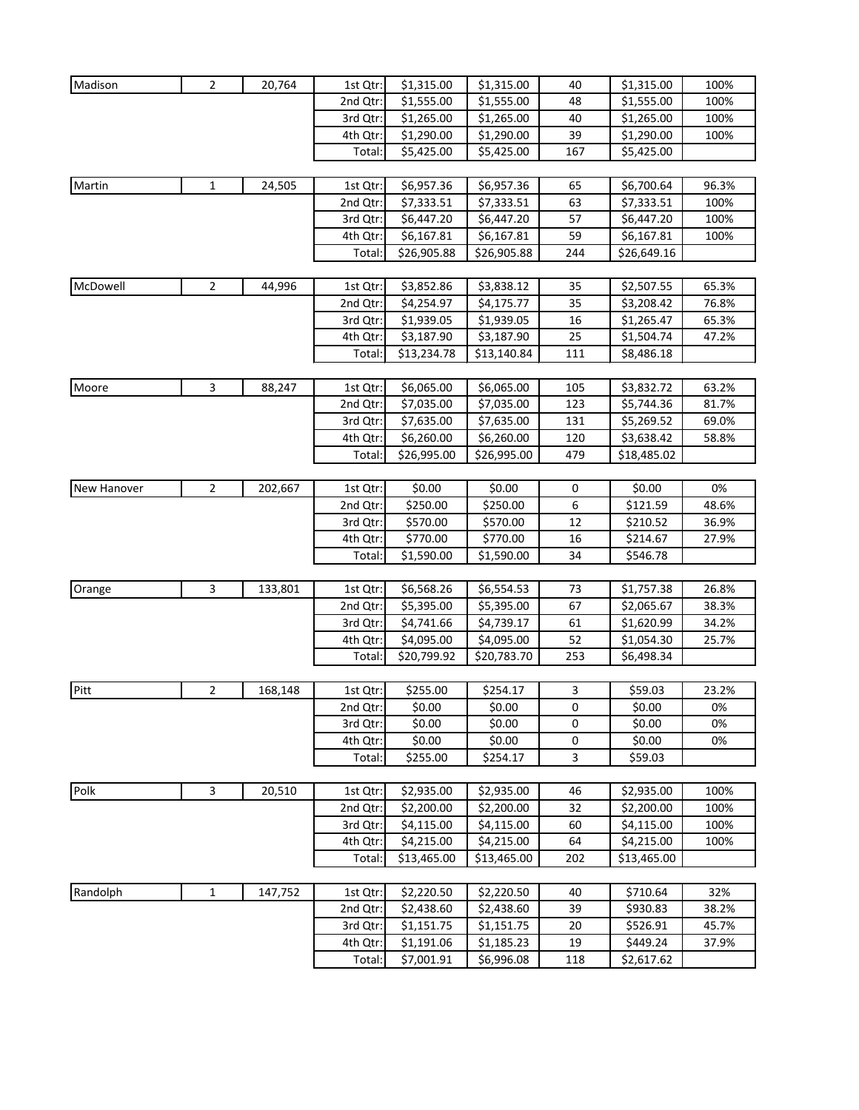| Madison     | $\mathbf 2$    | 20,764  | 1st Qtr: | \$1,315.00  | \$1,315.00  | 40  | \$1,315.00  | 100%  |
|-------------|----------------|---------|----------|-------------|-------------|-----|-------------|-------|
|             |                |         | 2nd Qtr: | \$1,555.00  | \$1,555.00  | 48  | \$1,555.00  | 100%  |
|             |                |         | 3rd Qtr: | \$1,265.00  | \$1,265.00  | 40  | \$1,265.00  | 100%  |
|             |                |         | 4th Qtr: | \$1,290.00  | \$1,290.00  | 39  | \$1,290.00  | 100%  |
|             |                |         | Total:   | \$5,425.00  | \$5,425.00  | 167 | \$5,425.00  |       |
|             |                |         |          |             |             |     |             |       |
| Martin      | 1              | 24,505  | 1st Qtr: | \$6,957.36  | \$6,957.36  | 65  | \$6,700.64  | 96.3% |
|             |                |         | 2nd Qtr: | \$7,333.51  | \$7,333.51  | 63  | \$7,333.51  | 100%  |
|             |                |         | 3rd Qtr: | \$6,447.20  | \$6,447.20  | 57  | \$6,447.20  | 100%  |
|             |                |         | 4th Qtr: | \$6,167.81  | \$6,167.81  | 59  | \$6,167.81  | 100%  |
|             |                |         | Total:   | \$26,905.88 | \$26,905.88 | 244 | \$26,649.16 |       |
|             |                |         |          |             |             |     |             |       |
| McDowell    | $\mathbf 2$    | 44,996  | 1st Qtr: | \$3,852.86  | \$3,838.12  | 35  | \$2,507.55  | 65.3% |
|             |                |         | 2nd Qtr: | \$4,254.97  | \$4,175.77  | 35  | \$3,208.42  | 76.8% |
|             |                |         | 3rd Qtr: | \$1,939.05  | \$1,939.05  | 16  | \$1,265.47  | 65.3% |
|             |                |         | 4th Qtr: | \$3,187.90  | \$3,187.90  | 25  | \$1,504.74  | 47.2% |
|             |                |         | Total:   | \$13,234.78 | \$13,140.84 | 111 | \$8,486.18  |       |
|             |                |         |          |             |             |     |             |       |
| Moore       | $\mathsf{3}$   | 88,247  | 1st Qtr: | \$6,065.00  | \$6,065.00  | 105 | \$3,832.72  | 63.2% |
|             |                |         | 2nd Qtr: | \$7,035.00  | \$7,035.00  | 123 | \$5,744.36  | 81.7% |
|             |                |         | 3rd Qtr: | \$7,635.00  | \$7,635.00  | 131 | \$5,269.52  | 69.0% |
|             |                |         | 4th Qtr: | \$6,260.00  | \$6,260.00  | 120 | \$3,638.42  | 58.8% |
|             |                |         | Total:   | \$26,995.00 | \$26,995.00 | 479 | \$18,485.02 |       |
|             |                |         |          |             |             |     |             |       |
| New Hanover | $\mathbf 2$    | 202,667 | 1st Qtr: | \$0.00      | \$0.00      | 0   | \$0.00      | 0%    |
|             |                |         | 2nd Qtr: | \$250.00    | \$250.00    | 6   | \$121.59    | 48.6% |
|             |                |         | 3rd Qtr: | \$570.00    | \$570.00    | 12  | \$210.52    | 36.9% |
|             |                |         | 4th Qtr: | \$770.00    | \$770.00    | 16  | \$214.67    | 27.9% |
|             |                |         | Total:   | \$1,590.00  | \$1,590.00  | 34  | \$546.78    |       |
|             |                |         |          |             |             |     |             |       |
| Orange      | 3              | 133,801 | 1st Qtr: | \$6,568.26  | \$6,554.53  | 73  | \$1,757.38  | 26.8% |
|             |                |         | 2nd Qtr: | \$5,395.00  | \$5,395.00  | 67  | \$2,065.67  | 38.3% |
|             |                |         | 3rd Qtr: | \$4,741.66  | \$4,739.17  | 61  | \$1,620.99  | 34.2% |
|             |                |         | 4th Qtr: | \$4,095.00  | \$4,095.00  | 52  | \$1,054.30  | 25.7% |
|             |                |         | Total:   | \$20,799.92 | \$20,783.70 | 253 | \$6,498.34  |       |
|             |                |         |          |             |             |     |             |       |
| Pitt        | $\overline{2}$ | 168,148 | 1st Qtr: | \$255.00    | \$254.17    | 3   | \$59.03     | 23.2% |
|             |                |         | 2nd Qtr: | \$0.00      | \$0.00      | 0   | \$0.00      | 0%    |
|             |                |         | 3rd Qtr: | \$0.00      | \$0.00      | 0   | \$0.00      | 0%    |
|             |                |         | 4th Qtr: | \$0.00      | \$0.00      | 0   | \$0.00      | 0%    |
|             |                |         | Total:   | \$255.00    | \$254.17    | 3   | \$59.03     |       |
| Polk        | $\mathsf{3}$   | 20,510  | 1st Qtr: | \$2,935.00  | \$2,935.00  | 46  | \$2,935.00  | 100%  |
|             |                |         | 2nd Qtr: | \$2,200.00  | \$2,200.00  | 32  | \$2,200.00  | 100%  |
|             |                |         | 3rd Qtr: | \$4,115.00  | \$4,115.00  | 60  | \$4,115.00  | 100%  |
|             |                |         | 4th Qtr: | \$4,215.00  | \$4,215.00  | 64  | \$4,215.00  | 100%  |
|             |                |         | Total:   | \$13,465.00 | \$13,465.00 | 202 | \$13,465.00 |       |
|             |                |         |          |             |             |     |             |       |
| Randolph    | 1              | 147,752 | 1st Qtr: | \$2,220.50  | \$2,220.50  | 40  | \$710.64    | 32%   |
|             |                |         | 2nd Qtr: | \$2,438.60  | \$2,438.60  | 39  | \$930.83    | 38.2% |
|             |                |         | 3rd Qtr: | \$1,151.75  | \$1,151.75  | 20  | \$526.91    | 45.7% |
|             |                |         | 4th Qtr: | \$1,191.06  | \$1,185.23  | 19  | \$449.24    | 37.9% |
|             |                |         | Total:   | \$7,001.91  | \$6,996.08  | 118 | \$2,617.62  |       |
|             |                |         |          |             |             |     |             |       |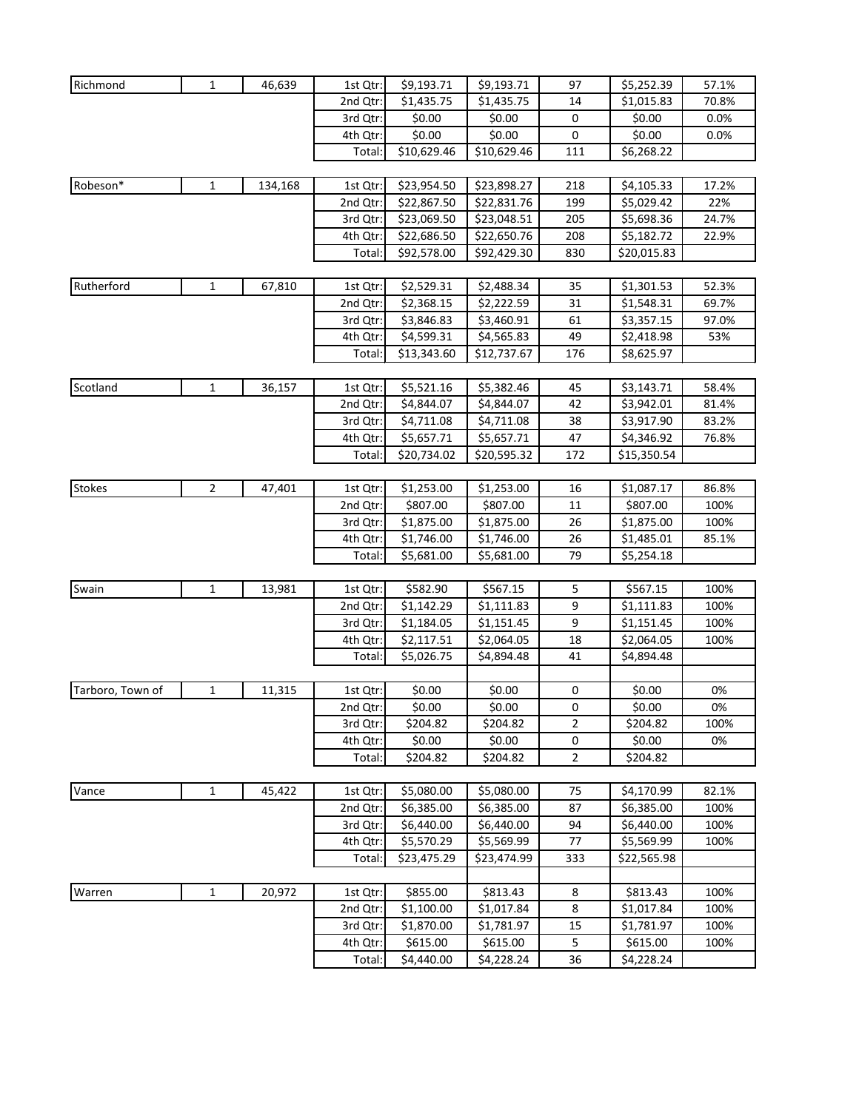| Richmond         | $\mathbf{1}$ | 46,639  | 1st Qtr: | \$9,193.71  | \$9,193.71  | 97             | \$5,252.39  | 57.1% |
|------------------|--------------|---------|----------|-------------|-------------|----------------|-------------|-------|
|                  |              |         | 2nd Qtr: | \$1,435.75  | \$1,435.75  | 14             | \$1,015.83  | 70.8% |
|                  |              |         | 3rd Qtr: | \$0.00      | \$0.00      | 0              | \$0.00      | 0.0%  |
|                  |              |         | 4th Qtr: | \$0.00      | \$0.00      | 0              | \$0.00      | 0.0%  |
|                  |              |         | Total:   | \$10,629.46 | \$10,629.46 | 111            | \$6,268.22  |       |
|                  |              |         |          |             |             |                |             |       |
| Robeson*         | $\mathbf{1}$ | 134,168 | 1st Qtr: | \$23,954.50 | \$23,898.27 | 218            | \$4,105.33  | 17.2% |
|                  |              |         | 2nd Qtr: | \$22,867.50 | \$22,831.76 | 199            | \$5,029.42  | 22%   |
|                  |              |         | 3rd Qtr: | \$23,069.50 | \$23,048.51 | 205            | \$5,698.36  | 24.7% |
|                  |              |         | 4th Qtr: | \$22,686.50 | \$22,650.76 | 208            | \$5,182.72  | 22.9% |
|                  |              |         | Total:   | \$92,578.00 | \$92,429.30 | 830            | \$20,015.83 |       |
|                  |              |         |          |             |             |                |             |       |
| Rutherford       | $\mathbf{1}$ | 67,810  | 1st Qtr: | \$2,529.31  | \$2,488.34  | 35             | \$1,301.53  | 52.3% |
|                  |              |         | 2nd Qtr: | \$2,368.15  | \$2,222.59  | 31             | \$1,548.31  | 69.7% |
|                  |              |         | 3rd Qtr: | \$3,846.83  | \$3,460.91  | 61             | \$3,357.15  | 97.0% |
|                  |              |         | 4th Qtr: | \$4,599.31  | \$4,565.83  | 49             | \$2,418.98  | 53%   |
|                  |              |         | Total:   | \$13,343.60 | \$12,737.67 | 176            | \$8,625.97  |       |
|                  |              |         |          |             |             |                |             |       |
| Scotland         | 1            | 36,157  | 1st Qtr: | \$5,521.16  | \$5,382.46  | 45             | \$3,143.71  | 58.4% |
|                  |              |         | 2nd Qtr: | \$4,844.07  | \$4,844.07  | 42             | \$3,942.01  | 81.4% |
|                  |              |         | 3rd Qtr: | \$4,711.08  | \$4,711.08  | 38             | \$3,917.90  | 83.2% |
|                  |              |         | 4th Qtr: | \$5,657.71  | \$5,657.71  | 47             | \$4,346.92  | 76.8% |
|                  |              |         | Total:   | \$20,734.02 | \$20,595.32 | 172            | \$15,350.54 |       |
|                  |              |         |          |             |             |                |             |       |
| <b>Stokes</b>    | 2            | 47,401  | 1st Qtr: | \$1,253.00  | \$1,253.00  | 16             | \$1,087.17  | 86.8% |
|                  |              |         | 2nd Qtr: | \$807.00    | \$807.00    | 11             | \$807.00    | 100%  |
|                  |              |         | 3rd Qtr: | \$1,875.00  | \$1,875.00  | 26             | \$1,875.00  | 100%  |
|                  |              |         | 4th Qtr: | \$1,746.00  | \$1,746.00  | 26             | \$1,485.01  | 85.1% |
|                  |              |         | Total:   | \$5,681.00  | \$5,681.00  | 79             | \$5,254.18  |       |
|                  |              |         |          |             |             |                |             |       |
| Swain            | $\mathbf{1}$ | 13,981  | 1st Qtr: | \$582.90    | \$567.15    | 5              | \$567.15    | 100%  |
|                  |              |         | 2nd Qtr: | \$1,142.29  | \$1,111.83  | 9              | \$1,111.83  | 100%  |
|                  |              |         | 3rd Qtr: | \$1,184.05  | \$1,151.45  | 9              | \$1,151.45  | 100%  |
|                  |              |         | 4th Qtr: | \$2,117.51  | \$2,064.05  | 18             | \$2,064.05  | 100%  |
|                  |              |         | Total:   | \$5,026.75  | \$4,894.48  | 41             | \$4,894.48  |       |
|                  |              |         |          |             |             |                |             |       |
| Tarboro, Town of | 1            | 11,315  | 1st Qtr: | \$0.00      | \$0.00      | 0              | \$0.00      | 0%    |
|                  |              |         | 2nd Qtr: | \$0.00      | \$0.00      | 0              | \$0.00      | 0%    |
|                  |              |         | 3rd Qtr: | \$204.82    | \$204.82    | 2              | \$204.82    | 100%  |
|                  |              |         | 4th Qtr: | \$0.00      | \$0.00      | 0              | \$0.00      | 0%    |
|                  |              |         | Total:   | \$204.82    | \$204.82    | $\overline{2}$ | \$204.82    |       |
|                  |              |         |          |             |             |                |             |       |
| Vance            | $\mathbf{1}$ | 45,422  | 1st Qtr: | \$5,080.00  | \$5,080.00  | 75             | \$4,170.99  | 82.1% |
|                  |              |         | 2nd Qtr: | \$6,385.00  | \$6,385.00  | 87             | \$6,385.00  | 100%  |
|                  |              |         | 3rd Qtr: | \$6,440.00  | \$6,440.00  | 94             | \$6,440.00  | 100%  |
|                  |              |         | 4th Qtr: | \$5,570.29  | \$5,569.99  | 77             | \$5,569.99  | 100%  |
|                  |              |         | Total:   | \$23,475.29 | \$23,474.99 | 333            | \$22,565.98 |       |
|                  |              |         |          |             |             |                |             |       |
| Warren           | $\mathbf{1}$ | 20,972  | 1st Qtr: | \$855.00    | \$813.43    | 8              | \$813.43    | 100%  |
|                  |              |         | 2nd Qtr: | \$1,100.00  | \$1,017.84  | 8              | \$1,017.84  | 100%  |
|                  |              |         | 3rd Qtr: | \$1,870.00  | \$1,781.97  | 15             | \$1,781.97  | 100%  |
|                  |              |         | 4th Qtr: | \$615.00    | \$615.00    | 5              | \$615.00    | 100%  |
|                  |              |         | Total:   | \$4,440.00  | \$4,228.24  | 36             | \$4,228.24  |       |
|                  |              |         |          |             |             |                |             |       |